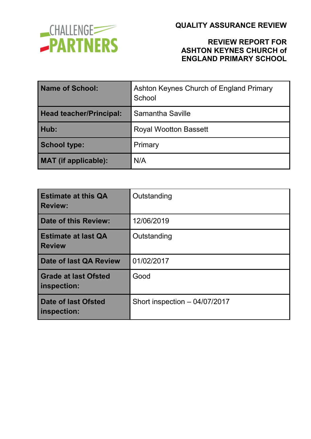

#### **REVIEW REPORT FOR ASHTON KEYNES CHURCH of ENGLAND PRIMARY SCHOOL**

| <b>Name of School:</b>         | Ashton Keynes Church of England Primary<br>School |  |
|--------------------------------|---------------------------------------------------|--|
| <b>Head teacher/Principal:</b> | Samantha Saville                                  |  |
| Hub:                           | <b>Royal Wootton Bassett</b>                      |  |
| <b>School type:</b>            | Primary                                           |  |
| <b>MAT</b> (if applicable):    | N/A                                               |  |

| <b>Estimate at this QA</b><br><b>Review:</b> | Outstanding                    |
|----------------------------------------------|--------------------------------|
| <b>Date of this Review:</b>                  | 12/06/2019                     |
| <b>Estimate at last QA</b><br><b>Review</b>  | Outstanding                    |
| Date of last QA Review                       | 01/02/2017                     |
| <b>Grade at last Ofsted</b><br>inspection:   | Good                           |
| <b>Date of last Ofsted</b><br>inspection:    | Short inspection $-04/07/2017$ |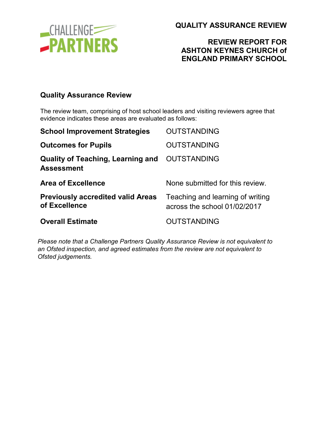

### **REVIEW REPORT FOR ASHTON KEYNES CHURCH of ENGLAND PRIMARY SCHOOL**

#### **Quality Assurance Review**

The review team, comprising of host school leaders and visiting reviewers agree that evidence indicates these areas are evaluated as follows:

| <b>School Improvement Strategies</b>                          | <b>OUTSTANDING</b>                                               |
|---------------------------------------------------------------|------------------------------------------------------------------|
| <b>Outcomes for Pupils</b>                                    | <b>OUTSTANDING</b>                                               |
| <b>Quality of Teaching, Learning and</b><br><b>Assessment</b> | <b>OUTSTANDING</b>                                               |
| <b>Area of Excellence</b>                                     | None submitted for this review.                                  |
| <b>Previously accredited valid Areas</b><br>of Excellence     | Teaching and learning of writing<br>across the school 01/02/2017 |
| <b>Overall Estimate</b>                                       | <b>OUTSTANDING</b>                                               |

*Please note that a Challenge Partners Quality Assurance Review is not equivalent to an Ofsted inspection, and agreed estimates from the review are not equivalent to Ofsted judgements.*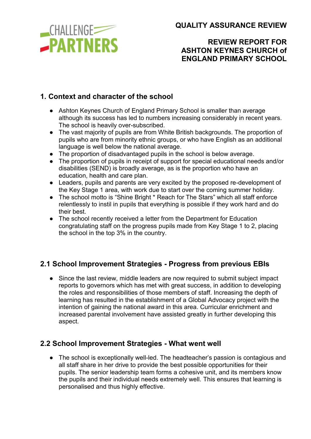

# **REVIEW REPORT FOR ASHTON KEYNES CHURCH of ENGLAND PRIMARY SCHOOL**

## **1. Context and character of the school**

- Ashton Keynes Church of England Primary School is smaller than average although its success has led to numbers increasing considerably in recent years. The school is heavily over-subscribed.
- The vast majority of pupils are from White British backgrounds. The proportion of pupils who are from minority ethnic groups, or who have English as an additional language is well below the national average.
- The proportion of disadvantaged pupils in the school is below average.
- The proportion of pupils in receipt of support for special educational needs and/or disabilities (SEND) is broadly average, as is the proportion who have an education, health and care plan.
- Leaders, pupils and parents are very excited by the proposed re-development of the Key Stage 1 area, with work due to start over the coming summer holiday.
- The school motto is "Shine Bright \* Reach for The Stars" which all staff enforce relentlessly to instil in pupils that everything is possible if they work hard and do their best.
- The school recently received a letter from the Department for Education congratulating staff on the progress pupils made from Key Stage 1 to 2, placing the school in the top 3% in the country.

### **2.1 School Improvement Strategies - Progress from previous EBIs**

● Since the last review, middle leaders are now required to submit subject impact reports to governors which has met with great success, in addition to developing the roles and responsibilities of those members of staff. Increasing the depth of learning has resulted in the establishment of a Global Advocacy project with the intention of gaining the national award in this area. Curricular enrichment and increased parental involvement have assisted greatly in further developing this aspect.

### **2.2 School Improvement Strategies - What went well**

● The school is exceptionally well-led. The headteacher's passion is contagious and all staff share in her drive to provide the best possible opportunities for their pupils. The senior leadership team forms a cohesive unit, and its members know the pupils and their individual needs extremely well. This ensures that learning is personalised and thus highly effective.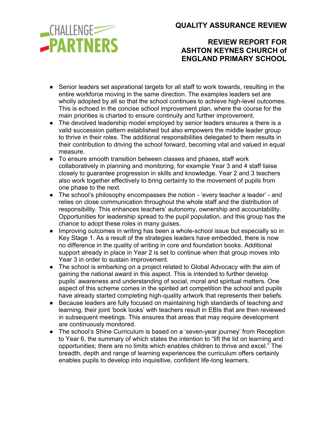\_CHALLENGE<sup>\_\_\_\_</sup> **-PARTNERS**  **QUALITY ASSURANCE REVIEW**

### **REVIEW REPORT FOR ASHTON KEYNES CHURCH of ENGLAND PRIMARY SCHOOL**

- Senior leaders set aspirational targets for all staff to work towards, resulting in the entire workforce moving in the same direction. The examples leaders set are wholly adopted by all so that the school continues to achieve high-level outcomes. This is echoed in the concise school improvement plan, where the course for the main priorities is charted to ensure continuity and further improvement.
- The devolved leadership model employed by senior leaders ensures a there is a valid succession pattern established but also empowers the middle leader group to thrive in their roles. The additional responsibilities delegated to them results in their contribution to driving the school forward, becoming vital and valued in equal measure.
- To ensure smooth transition between classes and phases, staff work collaboratively in planning and monitoring, for example Year 3 and 4 staff liaise closely to guarantee progression in skills and knowledge. Year 2 and 3 teachers also work together effectively to bring certainty to the movement of pupils from one phase to the next.
- The school's philosophy encompasses the notion 'every teacher a leader' and relies on close communication throughout the whole staff and the distribution of responsibility. This enhances teachers' autonomy, ownership and accountability. Opportunities for leadership spread to the pupil population, and this group has the chance to adopt these roles in many guises.
- Improving outcomes in writing has been a whole-school issue but especially so in Key Stage 1. As a result of the strategies leaders have embedded, there is now no difference in the quality of writing in core and foundation books. Additional support already in place in Year 2 is set to continue when that group moves into Year 3 in order to sustain improvement.
- The school is embarking on a project related to Global Advocacy with the aim of gaining the national award in this aspect. This is intended to further develop pupils' awareness and understanding of social, moral and spiritual matters. One aspect of this scheme comes in the spirited art competition the school and pupils have already started completing high-quality artwork that represents their beliefs.
- Because leaders are fully focused on maintaining high standards of teaching and learning, their joint 'book looks' with teachers result in EBIs that are then reviewed in subsequent meetings. This ensures that areas that may require development are continuously monitored.
- The school's Shine Curriculum is based on a 'seven-year journey' from Reception to Year 6, the summary of which states the intention to "lift the lid on learning and opportunities; there are no limits which enables children to thrive and excel." The breadth, depth and range of learning experiences the curriculum offers certainly enables pupils to develop into inquisitive, confident life-long learners.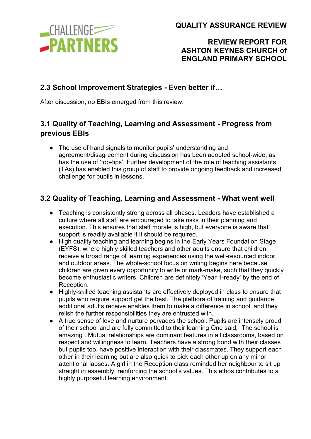

## **REVIEW REPORT FOR ASHTON KEYNES CHURCH of ENGLAND PRIMARY SCHOOL**

### **2.3 School Improvement Strategies - Even better if…**

After discussion, no EBIs emerged from this review.

# **3.1 Quality of Teaching, Learning and Assessment - Progress from previous EBIs**

• The use of hand signals to monitor pupils' understanding and agreement/disagreement during discussion has been adopted school-wide, as has the use of 'top-tips'. Further development of the role of teaching assistants (TAs) has enabled this group of staff to provide ongoing feedback and increased challenge for pupils in lessons.

# **3.2 Quality of Teaching, Learning and Assessment - What went well**

- Teaching is consistently strong across all phases. Leaders have established a culture where all staff are encouraged to take risks in their planning and execution. This ensures that staff morale is high, but everyone is aware that support is readily available if it should be required.
- High quality teaching and learning begins in the Early Years Foundation Stage (EYFS), where highly skilled teachers and other adults ensure that children receive a broad range of learning experiences using the well-resourced indoor and outdoor areas. The whole-school focus on writing begins here because children are given every opportunity to write or mark-make, such that they quickly become enthusiastic writers. Children are definitely 'Year 1-ready' by the end of Reception.
- Highly-skilled teaching assistants are effectively deployed in class to ensure that pupils who require support get the best. The plethora of training and guidance additional adults receive enables them to make a difference in school, and they relish the further responsibilities they are entrusted with.
- A true sense of love and nurture pervades the school. Pupils are intensely proud of their school and are fully committed to their learning One said, "The school is amazing". Mutual relationships are dominant features in all classrooms, based on respect and willingness to learn. Teachers have a strong bond with their classes but pupils too, have positive interaction with their classmates. They support each other in their learning but are also quick to pick each other up on any minor attentional lapses. A girl in the Reception class reminded her neighbour to sit up straight in assembly, reinforcing the school's values. This ethos contributes to a highly purposeful learning environment.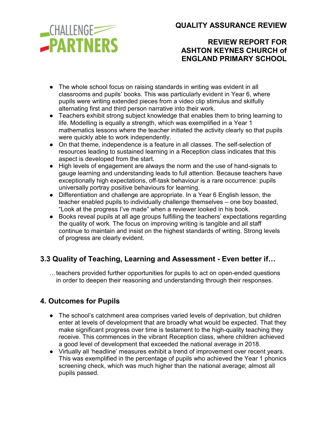**CHALLENGE -PARTNERS**  **QUALITY ASSURANCE REVIEW**

### **REVIEW REPORT FOR ASHTON KEYNES CHURCH of ENGLAND PRIMARY SCHOOL**

- The whole school focus on raising standards in writing was evident in all classrooms and pupils' books. This was particularly evident in Year 6, where pupils were writing extended pieces from a video clip stimulus and skilfully alternating first and third person narrative into their work.
- Teachers exhibit strong subject knowledge that enables them to bring learning to life. Modelling is equally a strength, which was exemplified in a Year 1 mathematics lessons where the teacher initiated the activity clearly so that pupils were quickly able to work independently.
- On that theme, independence is a feature in all classes. The self-selection of resources leading to sustained learning in a Reception class indicates that this aspect is developed from the start.
- High levels of engagement are always the norm and the use of hand-signals to gauge learning and understanding leads to full attention. Because teachers have exceptionally high expectations, off-task behaviour is a rare occurrence: pupils universally portray positive behaviours for learning.
- Differentiation and challenge are appropriate. In a Year 6 English lesson, the teacher enabled pupils to individually challenge themselves – one boy boasted, "Look at the progress I've made" when a reviewer looked in his book.
- Books reveal pupils at all age groups fulfilling the teachers' expectations regarding the quality of work. The focus on improving writing is tangible and all staff continue to maintain and insist on the highest standards of writing. Strong levels of progress are clearly evident.

# **3.3 Quality of Teaching, Learning and Assessment - Even better if…**

…teachers provided further opportunities for pupils to act on open-ended questions in order to deepen their reasoning and understanding through their responses.

# **4. Outcomes for Pupils**

- The school's catchment area comprises varied levels of deprivation, but children enter at levels of development that are broadly what would be expected. That they make significant progress over time is testament to the high-quality teaching they receive. This commences in the vibrant Reception class, where children achieved a good level of development that exceeded the national average in 2018.
- Virtually all 'headline' measures exhibit a trend of improvement over recent years. This was exemplified in the percentage of pupils who achieved the Year 1 phonics screening check, which was much higher than the national average; almost all pupils passed.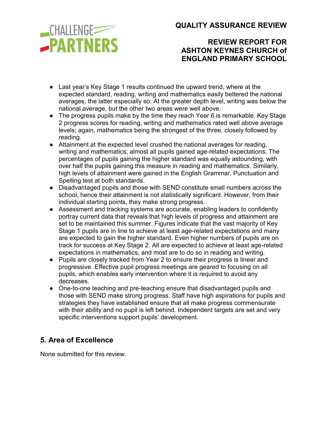\_CHALLENGE<sup>1</sup> **-PARTNERS**  **QUALITY ASSURANCE REVIEW**

### **REVIEW REPORT FOR ASHTON KEYNES CHURCH of ENGLAND PRIMARY SCHOOL**

- Last year's Key Stage 1 results continued the upward trend, where at the expected standard, reading, writing and mathematics easily bettered the national averages, the latter especially so. At the greater depth level, writing was below the national average, but the other two areas were well above.
- The progress pupils make by the time they reach Year 6 is remarkable. Key Stage 2 progress scores for reading, writing and mathematics rated well above average levels; again, mathematics being the strongest of the three, closely followed by reading.
- Attainment at the expected level crushed the national averages for reading, writing and mathematics; almost all pupils gained age-related expectations. The percentages of pupils gaining the higher standard was equally astounding, with over half the pupils gaining this measure in reading and mathematics. Similarly, high levels of attainment were gained in the English Grammar, Punctuation and Spelling test at both standards.
- Disadvantaged pupils and those with SEND constitute small numbers across the school, hence their attainment is not statistically significant. However, from their individual starting points, they make strong progress.
- Assessment and tracking systems are accurate, enabling leaders to confidently portray current data that reveals that high levels of progress and attainment are set to be maintained this summer. Figures indicate that the vast majority of Key Stage 1 pupils are in line to achieve at least age-related expectations and many are expected to gain the higher standard. Even higher numbers of pupils are on track for success at Key Stage 2. All are expected to achieve at least age-related expectations in mathematics, and most are to do so in reading and writing.
- Pupils are closely tracked from Year 2 to ensure their progress is linear and progressive. Effective pupil progress meetings are geared to focusing on all pupils, which enables early intervention where it is required to avoid any decreases.
- One-to-one teaching and pre-teaching ensure that disadvantaged pupils and those with SEND make strong progress. Staff have high aspirations for pupils and strategies they have established ensure that all make progress commensurate with their ability and no pupil is left behind. Independent targets are set and very specific interventions support pupils' development.

### **5. Area of Excellence**

None submitted for this review.